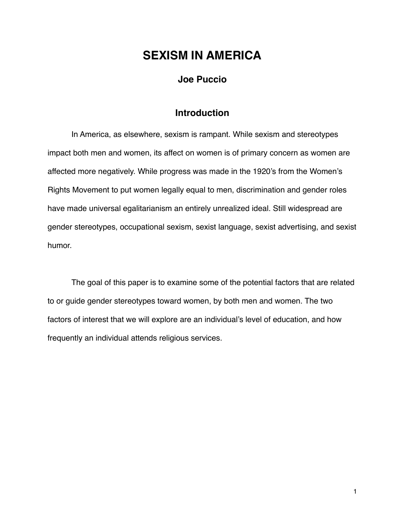# **SEXISM IN AMERICA**

## **Joe Puccio**

## **Introduction**

In America, as elsewhere, sexism is rampant. While sexism and stereotypes impact both men and women, its affect on women is of primary concern as women are affected more negatively. While progress was made in the 1920's from the Women's Rights Movement to put women legally equal to men, discrimination and gender roles have made universal egalitarianism an entirely unrealized ideal. Still widespread are gender stereotypes, occupational sexism, sexist language, sexist advertising, and sexist humor.

The goal of this paper is to examine some of the potential factors that are related to or guide gender stereotypes toward women, by both men and women. The two factors of interest that we will explore are an individual's level of education, and how frequently an individual attends religious services.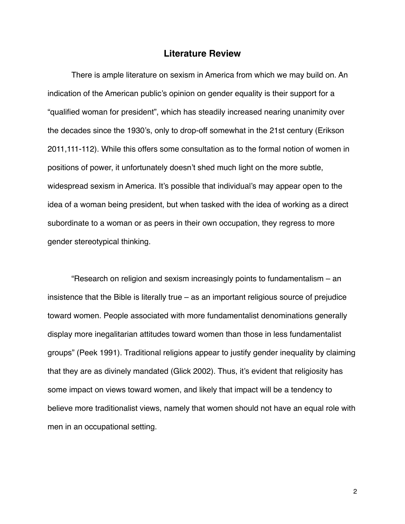#### **Literature Review**

There is ample literature on sexism in America from which we may build on. An indication of the American public's opinion on gender equality is their support for a "qualified woman for president", which has steadily increased nearing unanimity over the decades since the 1930's, only to drop-off somewhat in the 21st century (Erikson 2011,111-112). While this offers some consultation as to the formal notion of women in positions of power, it unfortunately doesn't shed much light on the more subtle, widespread sexism in America. It's possible that individual's may appear open to the idea of a woman being president, but when tasked with the idea of working as a direct subordinate to a woman or as peers in their own occupation, they regress to more gender stereotypical thinking.

"Research on religion and sexism increasingly points to fundamentalism – an insistence that the Bible is literally true – as an important religious source of prejudice toward women. People associated with more fundamentalist denominations generally display more inegalitarian attitudes toward women than those in less fundamentalist groups" (Peek 1991). Traditional religions appear to justify gender inequality by claiming that they are as divinely mandated (Glick 2002). Thus, it's evident that religiosity has some impact on views toward women, and likely that impact will be a tendency to believe more traditionalist views, namely that women should not have an equal role with men in an occupational setting.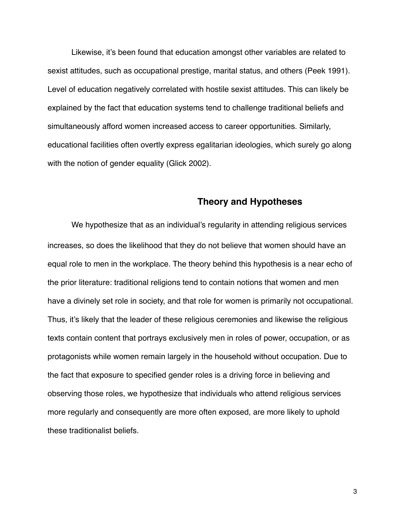Likewise, it's been found that education amongst other variables are related to sexist attitudes, such as occupational prestige, marital status, and others (Peek 1991). Level of education negatively correlated with hostile sexist attitudes. This can likely be explained by the fact that education systems tend to challenge traditional beliefs and simultaneously afford women increased access to career opportunities. Similarly, educational facilities often overtly express egalitarian ideologies, which surely go along with the notion of gender equality (Glick 2002).

## **Theory and Hypotheses**

We hypothesize that as an individual's regularity in attending religious services increases, so does the likelihood that they do not believe that women should have an equal role to men in the workplace. The theory behind this hypothesis is a near echo of the prior literature: traditional religions tend to contain notions that women and men have a divinely set role in society, and that role for women is primarily not occupational. Thus, it's likely that the leader of these religious ceremonies and likewise the religious texts contain content that portrays exclusively men in roles of power, occupation, or as protagonists while women remain largely in the household without occupation. Due to the fact that exposure to specified gender roles is a driving force in believing and observing those roles, we hypothesize that individuals who attend religious services more regularly and consequently are more often exposed, are more likely to uphold these traditionalist beliefs.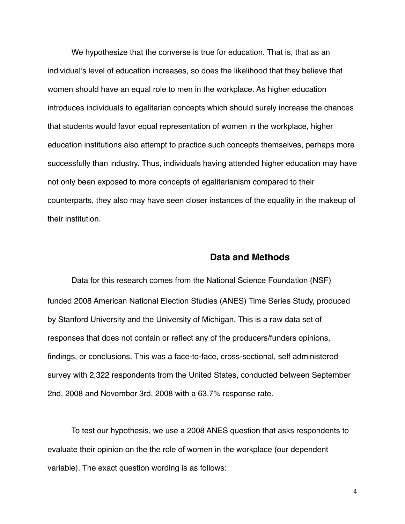We hypothesize that the converse is true for education. That is, that as an individual's level of education increases, so does the likelihood that they believe that women should have an equal role to men in the workplace. As higher education introduces individuals to egalitarian concepts which should surely increase the chances that students would favor equal representation of women in the workplace, higher education institutions also attempt to practice such concepts themselves, perhaps more successfully than industry. Thus, individuals having attended higher education may have not only been exposed to more concepts of egalitarianism compared to their counterparts, they also may have seen closer instances of the equality in the makeup of their institution.

### **Data and Methods**

Data for this research comes from the National Science Foundation (NSF) funded 2008 American National Election Studies (ANES) Time Series Study, produced by Stanford University and the University of Michigan. This is a raw data set of responses that does not contain or reflect any of the producers/funders opinions, findings, or conclusions. This was a face-to-face, cross-sectional, self administered survey with 2,322 respondents from the United States, conducted between September 2nd, 2008 and November 3rd, 2008 with a 63.7% response rate.

To test our hypothesis, we use a 2008 ANES question that asks respondents to evaluate their opinion on the the role of women in the workplace (our dependent variable). The exact question wording is as follows: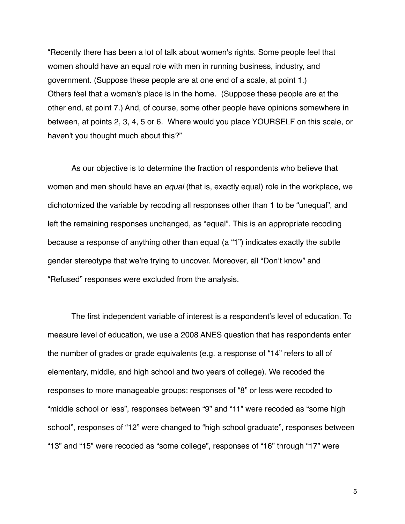"Recently there has been a lot of talk about women's rights. Some people feel that women should have an equal role with men in running business, industry, and government. (Suppose these people are at one end of a scale, at point 1.) Others feel that a woman's place is in the home. (Suppose these people are at the other end, at point 7.) And, of course, some other people have opinions somewhere in between, at points 2, 3, 4, 5 or 6. Where would you place YOURSELF on this scale, or haven't you thought much about this?"

As our objective is to determine the fraction of respondents who believe that women and men should have an *equal* (that is, exactly equal) role in the workplace, we dichotomized the variable by recoding all responses other than 1 to be "unequal", and left the remaining responses unchanged, as "equal". This is an appropriate recoding because a response of anything other than equal (a "1") indicates exactly the subtle gender stereotype that we're trying to uncover. Moreover, all "Don't know" and "Refused" responses were excluded from the analysis.

The first independent variable of interest is a respondent's level of education. To measure level of education, we use a 2008 ANES question that has respondents enter the number of grades or grade equivalents (e.g. a response of "14" refers to all of elementary, middle, and high school and two years of college). We recoded the responses to more manageable groups: responses of "8" or less were recoded to "middle school or less", responses between "9" and "11" were recoded as "some high school", responses of "12" were changed to "high school graduate", responses between "13" and "15" were recoded as "some college", responses of "16" through "17" were

5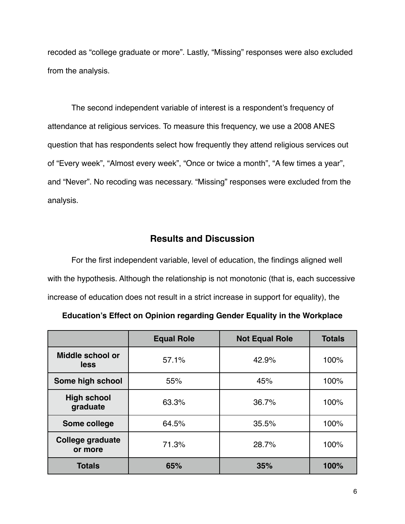recoded as "college graduate or more". Lastly, "Missing" responses were also excluded from the analysis.

The second independent variable of interest is a respondent's frequency of attendance at religious services. To measure this frequency, we use a 2008 ANES question that has respondents select how frequently they attend religious services out of "Every week", "Almost every week", "Once or twice a month", "A few times a year", and "Never". No recoding was necessary. "Missing" responses were excluded from the analysis.

# **Results and Discussion**

For the first independent variable, level of education, the findings aligned well with the hypothesis. Although the relationship is not monotonic (that is, each successive increase of education does not result in a strict increase in support for equality), the

| <b>Education's Effect on Opinion regarding Gender Equality in the Workplace</b> |  |
|---------------------------------------------------------------------------------|--|
|---------------------------------------------------------------------------------|--|

|                                    | <b>Equal Role</b> | <b>Not Equal Role</b> | <b>Totals</b> |
|------------------------------------|-------------------|-----------------------|---------------|
| Middle school or<br>less           | 57.1%             | 42.9%                 | 100%          |
| Some high school                   | 55%               | 45%                   | 100%          |
| <b>High school</b><br>graduate     | 63.3%             | 36.7%                 | 100%          |
| Some college                       | 64.5%             | 35.5%                 | 100%          |
| <b>College graduate</b><br>or more | 71.3%             | 28.7%                 | 100%          |
| <b>Totals</b>                      | 65%               | 35%                   | 100%          |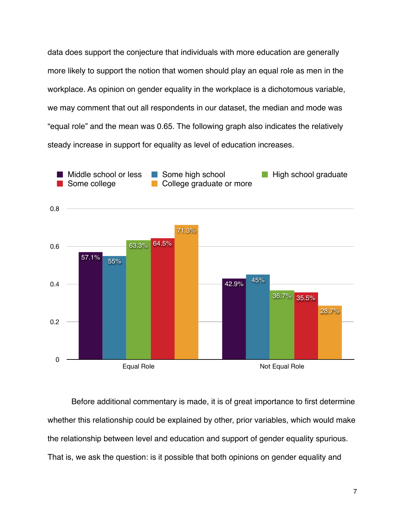data does support the conjecture that individuals with more education are generally more likely to support the notion that women should play an equal role as men in the workplace. As opinion on gender equality in the workplace is a dichotomous variable, we may comment that out all respondents in our dataset, the median and mode was "equal role" and the mean was 0.65. The following graph also indicates the relatively steady increase in support for equality as level of education increases.



Before additional commentary is made, it is of great importance to first determine whether this relationship could be explained by other, prior variables, which would make the relationship between level and education and support of gender equality spurious. That is, we ask the question: is it possible that both opinions on gender equality and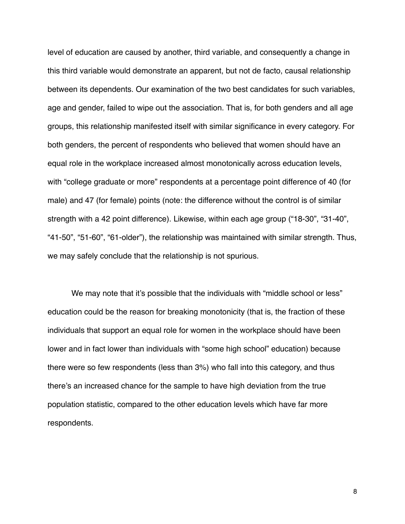level of education are caused by another, third variable, and consequently a change in this third variable would demonstrate an apparent, but not de facto, causal relationship between its dependents. Our examination of the two best candidates for such variables, age and gender, failed to wipe out the association. That is, for both genders and all age groups, this relationship manifested itself with similar significance in every category. For both genders, the percent of respondents who believed that women should have an equal role in the workplace increased almost monotonically across education levels, with "college graduate or more" respondents at a percentage point difference of 40 (for male) and 47 (for female) points (note: the difference without the control is of similar strength with a 42 point difference). Likewise, within each age group ("18-30", "31-40", "41-50", "51-60", "61-older"), the relationship was maintained with similar strength. Thus, we may safely conclude that the relationship is not spurious.

We may note that it's possible that the individuals with "middle school or less" education could be the reason for breaking monotonicity (that is, the fraction of these individuals that support an equal role for women in the workplace should have been lower and in fact lower than individuals with "some high school" education) because there were so few respondents (less than 3%) who fall into this category, and thus there's an increased chance for the sample to have high deviation from the true population statistic, compared to the other education levels which have far more respondents.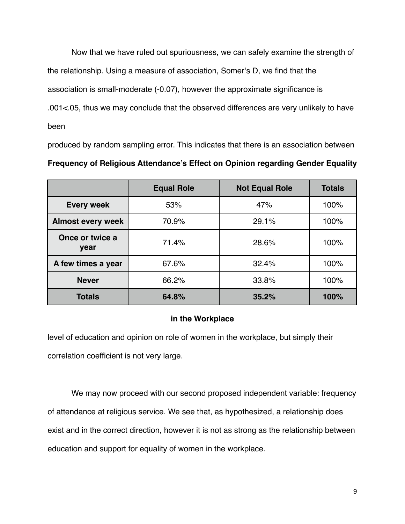Now that we have ruled out spuriousness, we can safely examine the strength of the relationship. Using a measure of association, Somer's D, we find that the association is small-moderate (-0.07), however the approximate significance is .001<.05, thus we may conclude that the observed differences are very unlikely to have been

produced by random sampling error. This indicates that there is an association between **Frequency of Religious Attendance's Effect on Opinion regarding Gender Equality** 

|                          | <b>Equal Role</b> | <b>Not Equal Role</b> | <b>Totals</b> |
|--------------------------|-------------------|-----------------------|---------------|
| <b>Every week</b>        | 53%               | 47%                   | 100%          |
| <b>Almost every week</b> | 70.9%             | 29.1%                 | 100%          |
| Once or twice a<br>year  | 71.4%             | 28.6%                 | 100%          |
| A few times a year       | 67.6%             | 32.4%                 | 100%          |
| <b>Never</b>             | 66.2%             | 33.8%                 | 100%          |
| <b>Totals</b>            | 64.8%             | 35.2%                 | 100%          |

#### **in the Workplace**

level of education and opinion on role of women in the workplace, but simply their correlation coefficient is not very large.

We may now proceed with our second proposed independent variable: frequency of attendance at religious service. We see that, as hypothesized, a relationship does exist and in the correct direction, however it is not as strong as the relationship between education and support for equality of women in the workplace.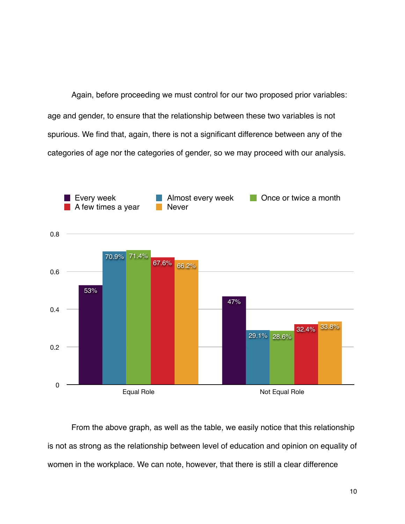Again, before proceeding we must control for our two proposed prior variables: age and gender, to ensure that the relationship between these two variables is not spurious. We find that, again, there is not a significant difference between any of the categories of age nor the categories of gender, so we may proceed with our analysis.



From the above graph, as well as the table, we easily notice that this relationship is not as strong as the relationship between level of education and opinion on equality of women in the workplace. We can note, however, that there is still a clear difference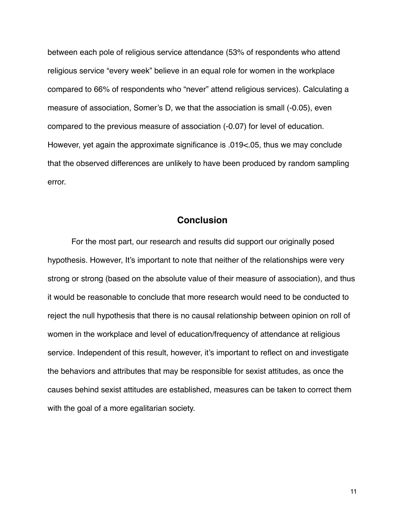between each pole of religious service attendance (53% of respondents who attend religious service "every week" believe in an equal role for women in the workplace compared to 66% of respondents who "never" attend religious services). Calculating a measure of association, Somer's D, we that the association is small (-0.05), even compared to the previous measure of association (-0.07) for level of education. However, yet again the approximate significance is .019<.05, thus we may conclude that the observed differences are unlikely to have been produced by random sampling error.

# **Conclusion**

For the most part, our research and results did support our originally posed hypothesis. However, It's important to note that neither of the relationships were very strong or strong (based on the absolute value of their measure of association), and thus it would be reasonable to conclude that more research would need to be conducted to reject the null hypothesis that there is no causal relationship between opinion on roll of women in the workplace and level of education/frequency of attendance at religious service. Independent of this result, however, it's important to reflect on and investigate the behaviors and attributes that may be responsible for sexist attitudes, as once the causes behind sexist attitudes are established, measures can be taken to correct them with the goal of a more egalitarian society.